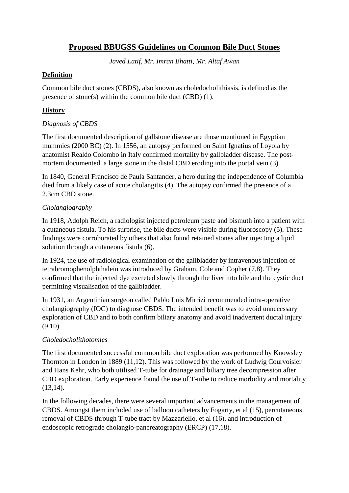# **Proposed BBUGSS Guidelines on Common Bile Duct Stones**

*Javed Latif, Mr. Imran Bhatti, Mr. Altaf Awan*

#### **Definition**

Common bile duct stones (CBDS), also known as choledocholithiasis, is defined as the presence of stone(s) within the common bile duct (CBD) (1).

### **History**

#### *Diagnosis of CBDS*

The first documented description of gallstone disease are those mentioned in Egyptian mummies (2000 BC) (2). In 1556, an autopsy performed on Saint Ignatius of Loyola by anatomist Realdo Colombo in Italy confirmed mortality by gallbladder disease. The postmortem documented a large stone in the distal CBD eroding into the portal vein (3).

In 1840, General Francisco de Paula Santander, a hero during the independence of Columbia died from a likely case of acute cholangitis (4). The autopsy confirmed the presence of a 2.3cm CBD stone.

# *Cholangiography*

In 1918, Adolph Reich, a radiologist injected petroleum paste and bismuth into a patient with a cutaneous fistula. To his surprise, the bile ducts were visible during fluoroscopy (5). These findings were corroborated by others that also found retained stones after injecting a lipid solution through a cutaneous fistula (6).

In 1924, the use of radiological examination of the gallbladder by intravenous injection of tetrabromophenolphthalein was introduced by Graham, Cole and Copher (7,8). They confirmed that the injected dye excreted slowly through the liver into bile and the cystic duct permitting visualisation of the gallbladder.

In 1931, an Argentinian surgeon called Pablo Luis Mirrizi recommended intra-operative cholangiography (IOC) to diagnose CBDS. The intended benefit was to avoid unnecessary exploration of CBD and to both confirm biliary anatomy and avoid inadvertent ductal injury (9,10).

# *Choledocholithotomies*

The first documented successful common bile duct exploration was performed by Knowsley Thornton in London in 1889 (11,12). This was followed by the work of Ludwig Courvoisier and Hans Kehr, who both utilised T-tube for drainage and biliary tree decompression after CBD exploration. Early experience found the use of T-tube to reduce morbidity and mortality (13,14).

In the following decades, there were several important advancements in the management of CBDS. Amongst them included use of balloon catheters by Fogarty, et al (15), percutaneous removal of CBDS through T-tube tract by Mazzariello, et al (16), and introduction of endoscopic retrograde cholangio-pancreatography (ERCP) (17,18).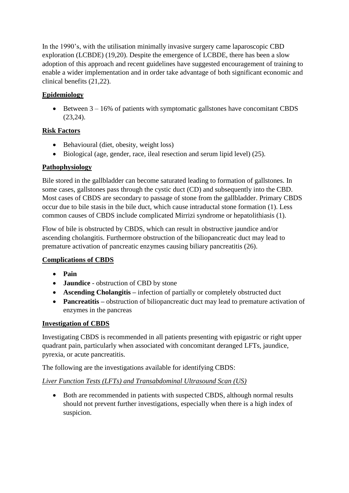In the 1990's, with the utilisation minimally invasive surgery came laparoscopic CBD exploration (LCBDE) (19,20). Despite the emergence of LCBDE, there has been a slow adoption of this approach and recent guidelines have suggested encouragement of training to enable a wider implementation and in order take advantage of both significant economic and clinical benefits (21,22).

# **Epidemiology**

• Between  $3 - 16\%$  of patients with symptomatic gallstones have concomitant CBDS (23,24).

# **Risk Factors**

- Behavioural (diet, obesity, weight loss)
- Biological (age, gender, race, ileal resection and serum lipid level) (25).

# **Pathophysiology**

Bile stored in the gallbladder can become saturated leading to formation of gallstones. In some cases, gallstones pass through the cystic duct (CD) and subsequently into the CBD. Most cases of CBDS are secondary to passage of stone from the gallbladder. Primary CBDS occur due to bile stasis in the bile duct, which cause intraductal stone formation (1). Less common causes of CBDS include complicated Mirrizi syndrome or hepatolithiasis (1).

Flow of bile is obstructed by CBDS, which can result in obstructive jaundice and/or ascending cholangitis. Furthermore obstruction of the biliopancreatic duct may lead to premature activation of pancreatic enzymes causing biliary pancreatitis (26).

# **Complications of CBDS**

- **Pain**
- **Jaundice**  obstruction of CBD by stone
- **Ascending Cholangitis** infection of partially or completely obstructed duct
- **Pancreatitis** obstruction of biliopancreatic duct may lead to premature activation of enzymes in the pancreas

# **Investigation of CBDS**

Investigating CBDS is recommended in all patients presenting with epigastric or right upper quadrant pain, particularly when associated with concomitant deranged LFTs, jaundice, pyrexia, or acute pancreatitis.

The following are the investigations available for identifying CBDS:

# *Liver Function Tests (LFTs) and Transabdominal Ultrasound Scan (US)*

• Both are recommended in patients with suspected CBDS, although normal results should not prevent further investigations, especially when there is a high index of suspicion.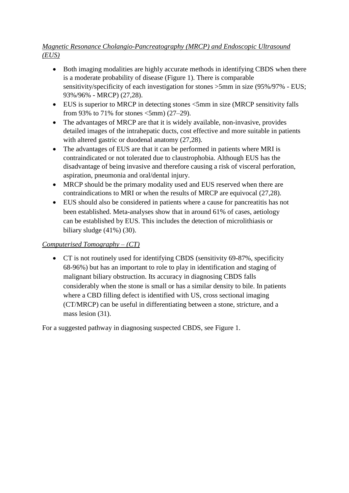# *Magnetic Resonance Cholangio-Pancreatography (MRCP) and Endoscopic Ultrasound (EUS)*

- Both imaging modalities are highly accurate methods in identifying CBDS when there is a moderate probability of disease (Figure 1). There is comparable sensitivity/specificity of each investigation for stones >5mm in size (95%/97% - EUS; 93%/96% - MRCP) (27,28).
- EUS is superior to MRCP in detecting stones  $\leq$ 5mm in size (MRCP sensitivity falls from 93% to 71% for stones <5mm) (27–29).
- The advantages of MRCP are that it is widely available, non-invasive, provides detailed images of the intrahepatic ducts, cost effective and more suitable in patients with altered gastric or duodenal anatomy (27,28).
- The advantages of EUS are that it can be performed in patients where MRI is contraindicated or not tolerated due to claustrophobia. Although EUS has the disadvantage of being invasive and therefore causing a risk of visceral perforation, aspiration, pneumonia and oral/dental injury.
- MRCP should be the primary modality used and EUS reserved when there are contraindications to MRI or when the results of MRCP are equivocal (27,28).
- EUS should also be considered in patients where a cause for pancreatitis has not been established. Meta-analyses show that in around 61% of cases, aetiology can be established by EUS. This includes the detection of microlithiasis or biliary sludge  $(41\%)$   $(30)$ .

# *Computerised Tomography – (CT)*

• CT is not routinely used for identifying CBDS (sensitivity 69-87%, specificity 68-96%) but has an important to role to play in identification and staging of malignant biliary obstruction. Its accuracy in diagnosing CBDS falls considerably when the stone is small or has a similar density to bile. In patients where a CBD filling defect is identified with US, cross sectional imaging (CT/MRCP) can be useful in differentiating between a stone, stricture, and a mass lesion (31).

For a suggested pathway in diagnosing suspected CBDS, see Figure 1.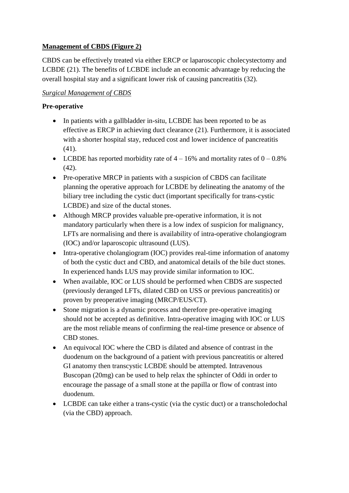# **Management of CBDS (Figure 2)**

CBDS can be effectively treated via either ERCP or laparoscopic cholecystectomy and LCBDE (21). The benefits of LCBDE include an economic advantage by reducing the overall hospital stay and a significant lower risk of causing pancreatitis (32).

# *Surgical Management of CBDS*

# **Pre-operative**

- In patients with a gallbladder in-situ, LCBDE has been reported to be as effective as ERCP in achieving duct clearance (21). Furthermore, it is associated with a shorter hospital stay, reduced cost and lower incidence of pancreatitis (41).
- LCBDE has reported morbidity rate of  $4 16\%$  and mortality rates of  $0 0.8\%$ (42).
- Pre-operative MRCP in patients with a suspicion of CBDS can facilitate planning the operative approach for LCBDE by delineating the anatomy of the biliary tree including the cystic duct (important specifically for trans-cystic LCBDE) and size of the ductal stones.
- Although MRCP provides valuable pre-operative information, it is not mandatory particularly when there is a low index of suspicion for malignancy, LFTs are normalising and there is availability of intra-operative cholangiogram (IOC) and/or laparoscopic ultrasound (LUS).
- Intra-operative cholangiogram (IOC) provides real-time information of anatomy of both the cystic duct and CBD, and anatomical details of the bile duct stones. In experienced hands LUS may provide similar information to IOC.
- When available, IOC or LUS should be performed when CBDS are suspected (previously deranged LFTs, dilated CBD on USS or previous pancreatitis) or proven by preoperative imaging (MRCP/EUS/CT).
- Stone migration is a dynamic process and therefore pre-operative imaging should not be accepted as definitive. Intra-operative imaging with IOC or LUS are the most reliable means of confirming the real-time presence or absence of CBD stones.
- An equivocal IOC where the CBD is dilated and absence of contrast in the duodenum on the background of a patient with previous pancreatitis or altered GI anatomy then transcystic LCBDE should be attempted. Intravenous Buscopan (20mg) can be used to help relax the sphincter of Oddi in order to encourage the passage of a small stone at the papilla or flow of contrast into duodenum.
- LCBDE can take either a trans-cystic (via the cystic duct) or a transcholedochal (via the CBD) approach.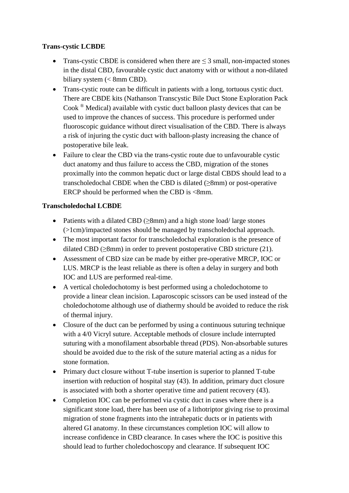#### **Trans-cystic LCBDE**

- Trans-cystic CBDE is considered when there are  $\leq$  3 small, non-impacted stones in the distal CBD, favourable cystic duct anatomy with or without a non-dilated biliary system (< 8mm CBD).
- Trans-cystic route can be difficult in patients with a long, tortuous cystic duct. There are CBDE kits (Nathanson Transcystic Bile Duct Stone Exploration Pack Cook ® Medical) available with cystic duct balloon plasty devices that can be used to improve the chances of success. This procedure is performed under fluoroscopic guidance without direct visualisation of the CBD. There is always a risk of injuring the cystic duct with balloon-plasty increasing the chance of postoperative bile leak.
- Failure to clear the CBD via the trans-cystic route due to unfavourable cystic duct anatomy and thus failure to access the CBD, migration of the stones proximally into the common hepatic duct or large distal CBDS should lead to a transcholedochal CBDE when the CBD is dilated  $(\geq 8$ mm) or post-operative ERCP should be performed when the CBD is <8mm.

#### **Transcholedochal LCBDE**

- Patients with a dilated CBD (≥8mm) and a high stone load/ large stones (>1cm)/impacted stones should be managed by transcholedochal approach.
- The most important factor for transcholedochal exploration is the presence of dilated CBD ( $\geq$ 8mm) in order to prevent postoperative CBD stricture (21).
- Assessment of CBD size can be made by either pre-operative MRCP, IOC or LUS. MRCP is the least reliable as there is often a delay in surgery and both IOC and LUS are performed real-time.
- A vertical choledochotomy is best performed using a choledochotome to provide a linear clean incision. Laparoscopic scissors can be used instead of the choledochotome although use of diathermy should be avoided to reduce the risk of thermal injury.
- Closure of the duct can be performed by using a continuous suturing technique with a 4/0 Vicryl suture. Acceptable methods of closure include interrupted suturing with a monofilament absorbable thread (PDS). Non-absorbable sutures should be avoided due to the risk of the suture material acting as a nidus for stone formation.
- Primary duct closure without T-tube insertion is superior to planned T-tube insertion with reduction of hospital stay (43). In addition, primary duct closure is associated with both a shorter operative time and patient recovery (43).
- Completion IOC can be performed via cystic duct in cases where there is a significant stone load, there has been use of a lithotriptor giving rise to proximal migration of stone fragments into the intrahepatic ducts or in patients with altered GI anatomy. In these circumstances completion IOC will allow to increase confidence in CBD clearance. In cases where the IOC is positive this should lead to further choledochoscopy and clearance. If subsequent IOC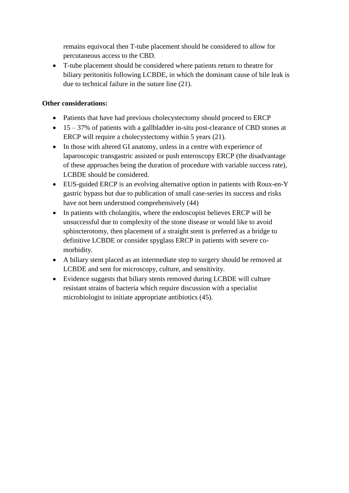remains equivocal then T-tube placement should be considered to allow for percutaneous access to the CBD.

• T-tube placement should be considered where patients return to theatre for biliary peritonitis following LCBDE, in which the dominant cause of bile leak is due to technical failure in the suture line (21).

### **Other considerations:**

- Patients that have had previous cholecystectomy should proceed to ERCP
- $\bullet$  15 37% of patients with a gallbladder in-situ post-clearance of CBD stones at ERCP will require a cholecystectomy within 5 years (21).
- In those with altered GI anatomy, unless in a centre with experience of laparoscopic transgastric assisted or push enteroscopy ERCP (the disadvantage of these approaches being the duration of procedure with variable success rate), LCBDE should be considered.
- EUS-guided ERCP is an evolving alternative option in patients with Roux-en-Y gastric bypass but due to publication of small case-series its success and risks have not been understood comprehensively (44)
- In patients with cholangitis, where the endoscopist believes ERCP will be unsuccessful due to complexity of the stone disease or would like to avoid sphincterotomy, then placement of a straight stent is preferred as a bridge to definitive LCBDE or consider spyglass ERCP in patients with severe comorbidity.
- A biliary stent placed as an intermediate step to surgery should be removed at LCBDE and sent for microscopy, culture, and sensitivity.
- Evidence suggests that biliary stents removed during LCBDE will culture resistant strains of bacteria which require discussion with a specialist microbiologist to initiate appropriate antibiotics (45).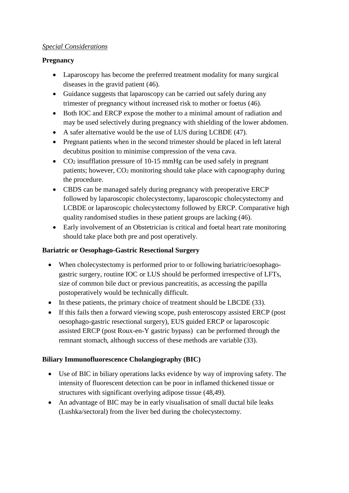#### *Special Considerations*

# **Pregnancy**

- Laparoscopy has become the preferred treatment modality for many surgical diseases in the gravid patient (46).
- Guidance suggests that laparoscopy can be carried out safely during any trimester of pregnancy without increased risk to mother or foetus (46).
- Both IOC and ERCP expose the mother to a minimal amount of radiation and may be used selectively during pregnancy with shielding of the lower abdomen.
- A safer alternative would be the use of LUS during LCBDE (47).
- Pregnant patients when in the second trimester should be placed in left lateral decubitus position to minimise compression of the vena cava.
- CO<sub>2</sub> insufflation pressure of 10-15 mmHg can be used safely in pregnant patients; however,  $CO<sub>2</sub>$  monitoring should take place with capnography during the procedure.
- CBDS can be managed safely during pregnancy with preoperative ERCP followed by laparoscopic cholecystectomy, laparoscopic cholecystectomy and LCBDE or laparoscopic cholecystectomy followed by ERCP. Comparative high quality randomised studies in these patient groups are lacking (46).
- Early involvement of an Obstetrician is critical and foetal heart rate monitoring should take place both pre and post operatively.

#### **Bariatric or Oesophago-Gastric Resectional Surgery**

- When cholecystectomy is performed prior to or following bariatric/oesophagogastric surgery, routine IOC or LUS should be performed irrespective of LFTs, size of common bile duct or previous pancreatitis, as accessing the papilla postoperatively would be technically difficult.
- In these patients, the primary choice of treatment should be LBCDE (33).
- If this fails then a forward viewing scope, push enteroscopy assisted ERCP (post oesophago-gastric resectional surgery), EUS guided ERCP or laparoscopic assisted ERCP (post Roux-en-Y gastric bypass) can be performed through the remnant stomach, although success of these methods are variable (33).

# **Biliary Immunofluorescence Cholangiography (BIC)**

- Use of BIC in biliary operations lacks evidence by way of improving safety. The intensity of fluorescent detection can be poor in inflamed thickened tissue or structures with significant overlying adipose tissue (48,49).
- An advantage of BIC may be in early visualisation of small ductal bile leaks (Lushka/sectoral) from the liver bed during the cholecystectomy.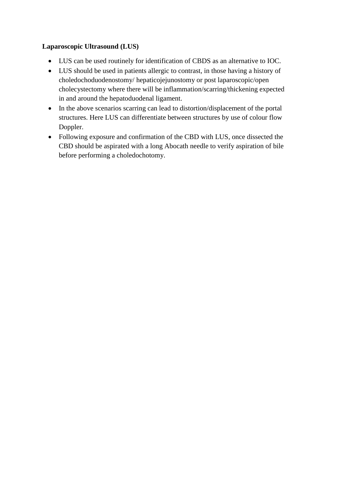# **Laparoscopic Ultrasound (LUS)**

- LUS can be used routinely for identification of CBDS as an alternative to IOC.
- LUS should be used in patients allergic to contrast, in those having a history of choledochoduodenostomy/ hepaticojejunostomy or post laparoscopic/open cholecystectomy where there will be inflammation/scarring/thickening expected in and around the hepatoduodenal ligament.
- In the above scenarios scarring can lead to distortion/displacement of the portal structures. Here LUS can differentiate between structures by use of colour flow Doppler.
- Following exposure and confirmation of the CBD with LUS, once dissected the CBD should be aspirated with a long Abocath needle to verify aspiration of bile before performing a choledochotomy.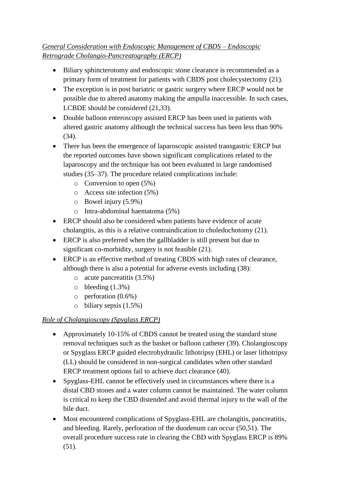# *General Consideration with Endoscopic Management of CBDS – Endoscopic Retrograde Cholangio-Pancreatography (ERCP)*

- Biliary sphincterotomy and endoscopic stone clearance is recommended as a primary form of treatment for patients with CBDS post cholecystectomy (21).
- The exception is in post bariatric or gastric surgery where ERCP would not be possible due to altered anatomy making the ampulla inaccessible. In such cases, LCBDE should be considered (21,33).
- Double balloon enteroscopy assisted ERCP has been used in patients with altered gastric anatomy although the technical success has been less than 90% (34).
- There has been the emergence of laparoscopic assisted transgastric ERCP but the reported outcomes have shown significant complications related to the laparoscopy and the technique has not been evaluated in large randomised studies (35–37). The procedure related complications include:
	- o Conversion to open (5%)
	- o Access site infection (5%)
	- o Bowel injury (5.9%)
	- o Intra-abdominal haematoma (5%)
- ERCP should also be considered when patients have evidence of acute cholangitis, as this is a relative contraindication to choledochotomy (21).
- ERCP is also preferred when the gallbladder is still present but due to significant co-morbidity, surgery is not feasible (21).
- ERCP is an effective method of treating CBDS with high rates of clearance, although there is also a potential for adverse events including (38):
	- o acute pancreatitis (3.5%)
	- $\circ$  bleeding  $(1.3\%)$
	- o perforation (0.6%)
	- $\circ$  biliary sepsis (1.5%)

# *Role of Cholangioscopy (Spyglass ERCP)*

- Approximately 10-15% of CBDS cannot be treated using the standard stone removal techniques such as the basket or balloon catheter (39). Cholangioscopy or Spyglass ERCP guided electrohydraulic lithotripsy (EHL) or laser lithotripsy (LL) should be considered in non-surgical candidates when other standard ERCP treatment options fail to achieve duct clearance (40).
- Spyglass-EHL cannot be effectively used in circumstances where there is a distal CBD stones and a water column cannot be maintained. The water column is critical to keep the CBD distended and avoid thermal injury to the wall of the bile duct.
- Most encountered complications of Spyglass-EHL are cholangitis, pancreatitis, and bleeding. Rarely, perforation of the duodenum can occur (50,51). The overall procedure success rate in clearing the CBD with Spyglass ERCP is 89% (51).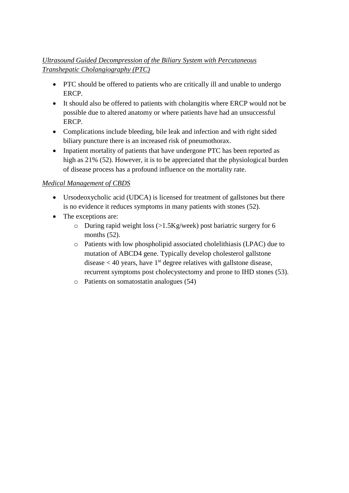# *Ultrasound Guided Decompression of the Biliary System with Percutaneous Transhepatic Cholangiography (PTC)*

- PTC should be offered to patients who are critically ill and unable to undergo ERCP.
- It should also be offered to patients with cholangitis where ERCP would not be possible due to altered anatomy or where patients have had an unsuccessful ERCP.
- Complications include bleeding, bile leak and infection and with right sided biliary puncture there is an increased risk of pneumothorax.
- Inpatient mortality of patients that have undergone PTC has been reported as high as 21% (52). However, it is to be appreciated that the physiological burden of disease process has a profound influence on the mortality rate.

# *Medical Management of CBDS*

- Ursodeoxycholic acid (UDCA) is licensed for treatment of gallstones but there is no evidence it reduces symptoms in many patients with stones (52).
- The exceptions are:
	- o During rapid weight loss (>1.5Kg/week) post bariatric surgery for 6 months  $(52)$ .
	- o Patients with low phospholipid associated cholelithiasis (LPAC) due to mutation of ABCD4 gene. Typically develop cholesterol gallstone disease  $<$  40 years, have 1<sup>st</sup> degree relatives with gallstone disease, recurrent symptoms post cholecystectomy and prone to IHD stones (53).
	- o Patients on somatostatin analogues (54)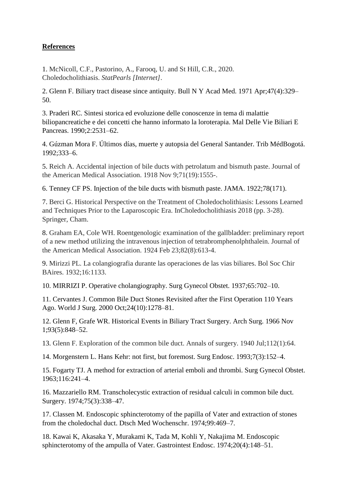# **References**

1. McNicoll, C.F., Pastorino, A., Farooq, U. and St Hill, C.R., 2020. Choledocholithiasis. *StatPearls [Internet]*.

2. Glenn F. Biliary tract disease since antiquity. Bull N Y Acad Med. 1971 Apr;47(4):329– 50.

3. Praderi RC. Sintesi storica ed evoluzione delle conoscenze in tema di malattie biliopancreatiche e dei concetti che hanno informato la loroterapia. Mal Delle Vie Biliari E Pancreas. 1990;2:2531–62.

4. Gúzman Mora F. Últimos días, muerte y autopsia del General Santander. Trib MédBogotá. 1992;333–6.

5. Reich A. Accidental injection of bile ducts with petrolatum and bismuth paste. Journal of the American Medical Association. 1918 Nov 9;71(19):1555-.

6. Tenney CF PS. Injection of the bile ducts with bismuth paste. JAMA. 1922;78(171).

7. Berci G. Historical Perspective on the Treatment of Choledocholithiasis: Lessons Learned and Techniques Prior to the Laparoscopic Era. InCholedocholithiasis 2018 (pp. 3-28). Springer, Cham.

8. Graham EA, Cole WH. Roentgenologic examination of the gallbladder: preliminary report of a new method utilizing the intravenous injection of tetrabromphenolphthalein. Journal of the American Medical Association. 1924 Feb 23;82(8):613-4.

9. Mirizzi PL. La colangiografia durante las operaciones de las vias biliares. Bol Soc Chir BAires. 1932;16:1133.

10. MIRRIZI P. Operative cholangiography. Surg Gynecol Obstet. 1937;65:702–10.

11. Cervantes J. Common Bile Duct Stones Revisited after the First Operation 110 Years Ago. World J Surg. 2000 Oct;24(10):1278–81.

12. Glenn F, Grafe WR. Historical Events in Biliary Tract Surgery. Arch Surg. 1966 Nov 1;93(5):848–52.

13. Glenn F. Exploration of the common bile duct. Annals of surgery. 1940 Jul;112(1):64.

14. Morgenstern L. Hans Kehr: not first, but foremost. Surg Endosc. 1993;7(3):152–4.

15. Fogarty TJ. A method for extraction of arterial emboli and thrombi. Surg Gynecol Obstet. 1963;116:241–4.

16. Mazzariello RM. Transcholecystic extraction of residual calculi in common bile duct. Surgery. 1974;75(3):338–47.

17. Classen M. Endoscopic sphincterotomy of the papilla of Vater and extraction of stones from the choledochal duct. Dtsch Med Wochenschr. 1974;99:469–7.

18. Kawai K, Akasaka Y, Murakami K, Tada M, Kohli Y, Nakajima M. Endoscopic sphincterotomy of the ampulla of Vater. Gastrointest Endosc. 1974;20(4):148–51.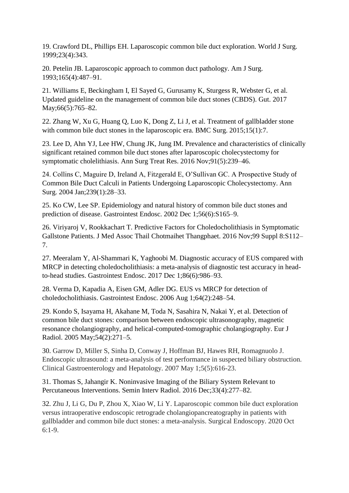19. Crawford DL, Phillips EH. Laparoscopic common bile duct exploration. World J Surg. 1999;23(4):343.

20. Petelin JB. Laparoscopic approach to common duct pathology. Am J Surg. 1993;165(4):487–91.

21. Williams E, Beckingham I, El Sayed G, Gurusamy K, Sturgess R, Webster G, et al. Updated guideline on the management of common bile duct stones (CBDS). Gut. 2017 May;66(5):765-82.

22. Zhang W, Xu G, Huang Q, Luo K, Dong Z, Li J, et al. Treatment of gallbladder stone with common bile duct stones in the laparoscopic era. BMC Surg. 2015;15(1):7.

23. Lee D, Ahn YJ, Lee HW, Chung JK, Jung IM. Prevalence and characteristics of clinically significant retained common bile duct stones after laparoscopic cholecystectomy for symptomatic cholelithiasis. Ann Surg Treat Res. 2016 Nov;91(5):239–46.

24. Collins C, Maguire D, Ireland A, Fitzgerald E, O'Sullivan GC. A Prospective Study of Common Bile Duct Calculi in Patients Undergoing Laparoscopic Cholecystectomy. Ann Surg. 2004 Jan;239(1):28–33.

25. Ko CW, Lee SP. Epidemiology and natural history of common bile duct stones and prediction of disease. Gastrointest Endosc. 2002 Dec 1;56(6):S165–9.

26. Viriyaroj V, Rookkachart T. Predictive Factors for Choledocholithiasis in Symptomatic Gallstone Patients. J Med Assoc Thail Chotmaihet Thangphaet. 2016 Nov;99 Suppl 8:S112– 7.

27. Meeralam Y, Al-Shammari K, Yaghoobi M. Diagnostic accuracy of EUS compared with MRCP in detecting choledocholithiasis: a meta-analysis of diagnostic test accuracy in headto-head studies. Gastrointest Endosc. 2017 Dec 1;86(6):986–93.

28. Verma D, Kapadia A, Eisen GM, Adler DG. EUS vs MRCP for detection of choledocholithiasis. Gastrointest Endosc. 2006 Aug 1;64(2):248–54.

29. Kondo S, Isayama H, Akahane M, Toda N, Sasahira N, Nakai Y, et al. Detection of common bile duct stones: comparison between endoscopic ultrasonography, magnetic resonance cholangiography, and helical-computed-tomographic cholangiography. Eur J Radiol. 2005 May;54(2):271–5.

30. Garrow D, Miller S, Sinha D, Conway J, Hoffman BJ, Hawes RH, Romagnuolo J. Endoscopic ultrasound: a meta-analysis of test performance in suspected biliary obstruction. Clinical Gastroenterology and Hepatology. 2007 May 1;5(5):616-23.

31. Thomas S, Jahangir K. Noninvasive Imaging of the Biliary System Relevant to Percutaneous Interventions. Semin Interv Radiol. 2016 Dec;33(4):277–82.

32. Zhu J, Li G, Du P, Zhou X, Xiao W, Li Y. Laparoscopic common bile duct exploration versus intraoperative endoscopic retrograde cholangiopancreatography in patients with gallbladder and common bile duct stones: a meta-analysis. Surgical Endoscopy. 2020 Oct 6:1-9.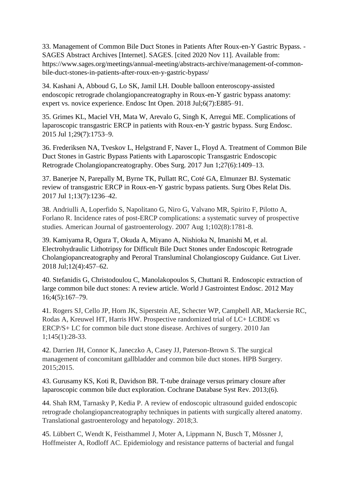33. Management of Common Bile Duct Stones in Patients After Roux-en-Y Gastric Bypass. - SAGES Abstract Archives [Internet]. SAGES. [cited 2020 Nov 11]. Available from: https://www.sages.org/meetings/annual-meeting/abstracts-archive/management-of-commonbile-duct-stones-in-patients-after-roux-en-y-gastric-bypass/

34. Kashani A, Abboud G, Lo SK, Jamil LH. Double balloon enteroscopy-assisted endoscopic retrograde cholangiopancreatography in Roux-en-Y gastric bypass anatomy: expert vs. novice experience. Endosc Int Open. 2018 Jul;6(7):E885–91.

35. Grimes KL, Maciel VH, Mata W, Arevalo G, Singh K, Arregui ME. Complications of laparoscopic transgastric ERCP in patients with Roux-en-Y gastric bypass. Surg Endosc. 2015 Jul 1;29(7):1753–9.

36. Frederiksen NA, Tveskov L, Helgstrand F, Naver L, Floyd A. Treatment of Common Bile Duct Stones in Gastric Bypass Patients with Laparoscopic Transgastric Endoscopic Retrograde Cholangiopancreatography. Obes Surg. 2017 Jun 1;27(6):1409–13.

37. Banerjee N, Parepally M, Byrne TK, Pullatt RC, Coté GA, Elmunzer BJ. Systematic review of transgastric ERCP in Roux-en-Y gastric bypass patients. Surg Obes Relat Dis. 2017 Jul 1;13(7):1236–42.

38. Andriulli A, Loperfido S, Napolitano G, Niro G, Valvano MR, Spirito F, Pilotto A, Forlano R. Incidence rates of post-ERCP complications: a systematic survey of prospective studies. American Journal of gastroenterology. 2007 Aug 1;102(8):1781-8.

39. Kamiyama R, Ogura T, Okuda A, Miyano A, Nishioka N, Imanishi M, et al. Electrohydraulic Lithotripsy for Difficult Bile Duct Stones under Endoscopic Retrograde Cholangiopancreatography and Peroral Transluminal Cholangioscopy Guidance. Gut Liver. 2018 Jul;12(4):457–62.

40. Stefanidis G, Christodoulou C, Manolakopoulos S, Chuttani R. Endoscopic extraction of large common bile duct stones: A review article. World J Gastrointest Endosc. 2012 May 16;4(5):167–79.

41. Rogers SJ, Cello JP, Horn JK, Siperstein AE, Schecter WP, Campbell AR, Mackersie RC, Rodas A, Kreuwel HT, Harris HW. Prospective randomized trial of LC+ LCBDE vs ERCP/S+ LC for common bile duct stone disease. Archives of surgery. 2010 Jan 1;145(1):28-33.

42. Darrien JH, Connor K, Janeczko A, Casey JJ, Paterson-Brown S. The surgical management of concomitant gallbladder and common bile duct stones. HPB Surgery. 2015;2015.

43. Gurusamy KS, Koti R, Davidson BR. T-tube drainage versus primary closure after laparoscopic common bile duct exploration. Cochrane Database Syst Rev. 2013;(6).

44. Shah RM, Tarnasky P, Kedia P. A review of endoscopic ultrasound guided endoscopic retrograde cholangiopancreatography techniques in patients with surgically altered anatomy. Translational gastroenterology and hepatology. 2018;3.

45. Lübbert C, Wendt K, Feisthammel J, Moter A, Lippmann N, Busch T, Mössner J, Hoffmeister A, Rodloff AC. Epidemiology and resistance patterns of bacterial and fungal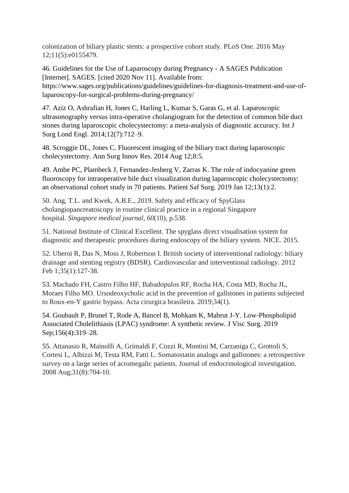colonization of biliary plastic stents: a prospective cohort study. PLoS One. 2016 May 12;11(5):e0155479.

46. Guidelines for the Use of Laparoscopy during Pregnancy - A SAGES Publication [Internet]. SAGES. [cited 2020 Nov 11]. Available from: https://www.sages.org/publications/guidelines/guidelines-for-diagnosis-treatment-and-use-of-

laparoscopy-for-surgical-problems-during-pregnancy/

47. Aziz O, Ashrafian H, Jones C, Harling L, Kumar S, Garas G, et al. Laparoscopic ultrasonography versus intra-operative cholangiogram for the detection of common bile duct stones during laparoscopic cholecystectomy: a meta-analysis of diagnostic accuracy. Int J Surg Lond Engl. 2014;12(7):712–9.

48. Scroggie DL, Jones C. Fluorescent imaging of the biliary tract during laparoscopic cholecystectomy. Ann Surg Innov Res. 2014 Aug 12;8:5.

49. Ambe PC, Plambeck J, Fernandez-Jesberg V, Zarras K. The role of indocyanine green fluoroscopy for intraoperative bile duct visualization during laparoscopic cholecystectomy: an observational cohort study in 70 patients. Patient Saf Surg. 2019 Jan 12;13(1):2.

50. Ang, T.L. and Kwek, A.B.E., 2019. Safety and efficacy of SpyGlass cholangiopancreatoscopy in routine clinical practice in a regional Singapore hospital. *Singapore medical journal*, *60*(10), p.538.

51. National Institute of Clinical Excellent. The spyglass direct visualisation system for diagnostic and therapeutic procedures during endoscopy of the biliary system. NICE. 2015.

52. Uberoi R, Das N, Moss J, Robertson I. British society of interventional radiology: biliary drainage and stenting registry (BDSR). Cardiovascular and interventional radiology. 2012 Feb 1;35(1):127-38.

53. Machado FH, Castro Filho HF, Babadopulos RF, Rocha HA, Costa MD, Rocha JL, Moraes Filho MO. Ursodeoxycholic acid in the prevention of gallstones in patients subjected to Roux-en-Y gastric bypass. Acta cirurgica brasileira. 2019;34(1).

54. Goubault P, Brunel T, Rode A, Bancel B, Mohkam K, Mabrut J-Y. Low-Phospholipid Associated Cholelithiasis (LPAC) syndrome: A synthetic review. J Visc Surg. 2019 Sep;156(4):319–28.

55. Attanasio R, Mainolfi A, Grimaldi F, Cozzi R, Montini M, Carzaniga C, Grottoli S, Cortesi L, Albizzi M, Testa RM, Fatti L. Somatostatin analogs and gallstones: a retrospective survey on a large series of acromegalic patients. Journal of endocrinological investigation. 2008 Aug;31(8):704-10.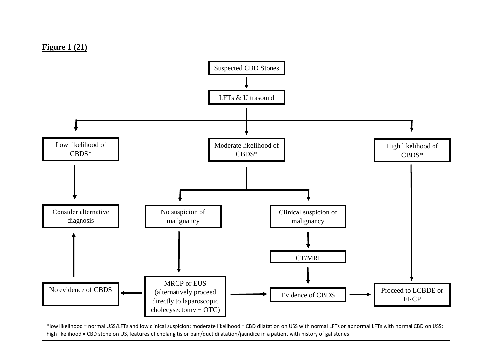

\*low likelihood = normal USS/LFTs and low clinical suspicion; moderate likelihood = CBD dilatation on USS with normal LFTs or abnormal LFTs with normal CBD on USS; high likelihood = CBD stone on US, features of cholangitis or pain/duct dilatation/jaundice in a patient with history of gallstones

#### **Figure 1 (21)**